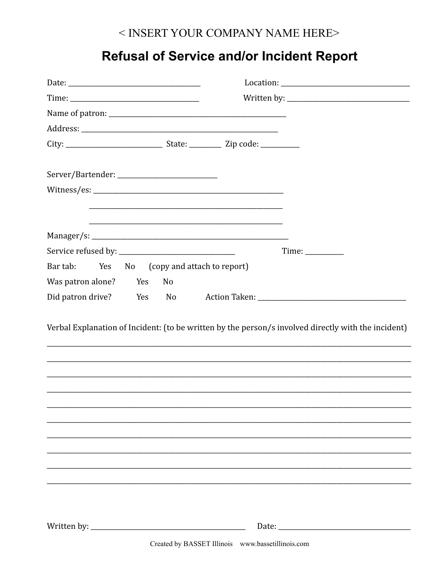## < INSERT YOUR COMPANY NAME HERE>

## **Refusal of Service and/or Incident Report**

| Bar tab: Yes<br>No (copy and attach to report) |                                                                                                     |
|------------------------------------------------|-----------------------------------------------------------------------------------------------------|
| Was patron alone? Yes<br>No                    |                                                                                                     |
| Did patron drive? Yes No                       |                                                                                                     |
|                                                | Verbal Explanation of Incident: (to be written by the person/s involved directly with the incident) |
|                                                |                                                                                                     |
|                                                |                                                                                                     |
|                                                |                                                                                                     |
|                                                |                                                                                                     |
|                                                |                                                                                                     |
|                                                | Created by BASSET Illinois www.bassetillinois.com                                                   |